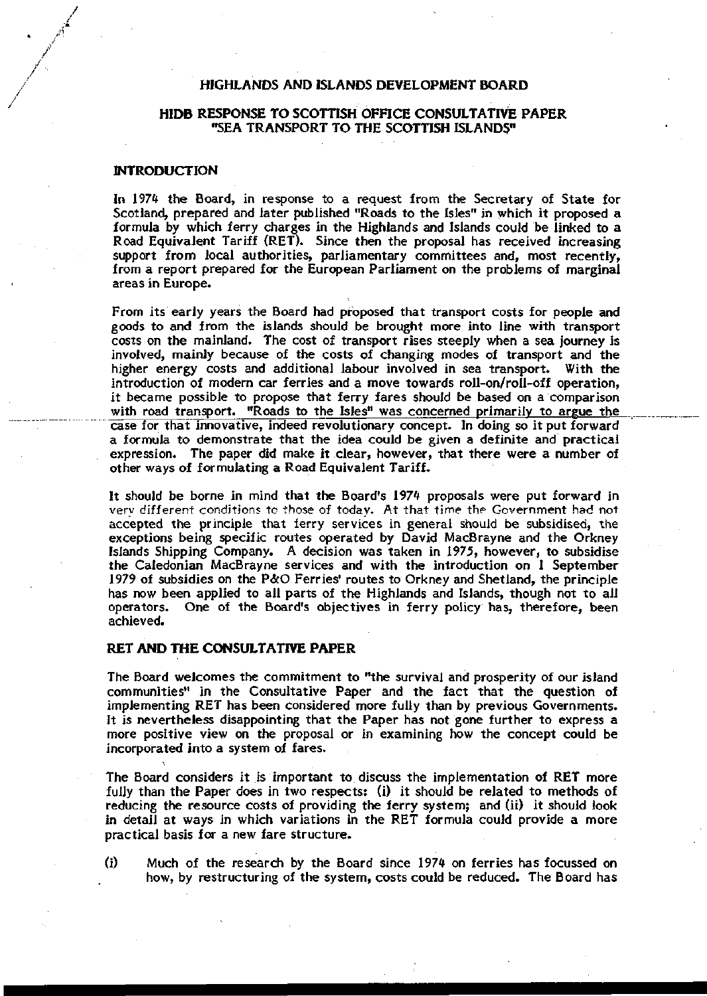# HIGHLANDS AND ISLANDS DEVELOPMENT BOARD

# HIDB RESPONSE TO SCOTTISH OFFICE CONSULTATIVE PAPER "SEA TRANSPORT TO THE SCOTTISH ISLANDS"

### **INTRODUCTION**

In 1974 the Board, in response to a request from the Secretary of State for Scotland, prepared and later published "Roads to the Isles" in which it proposed a formula by which ferry charges in the Highlands and Islands could be linked to a Road Equivalent Tariff (RET). Since then the proposal has received increasing support from local authorities, parliamentary committees and, most recently, from a report prepared for the European Parliament on the problems of marginal areas in Europe.

From its early years the Board had proposed that transport costs for people and goods to and from the islands should be brought more into line with transport costs on the mainland. The cost of transport rises steeply when a sea journey is involved, mainly because of the costs of changing modes of transport and the higher energy costs and additional labour involved in sea transport. With the introduction of modern car ferries and a move towards roll-on/roll-off operation, it became possible to propose that ferry fares should be based on a comparison with road transport. "Roads to the Isles" was concerned primarily to argue the case for that innovative, indeed revolutionary concept. In doing so it put forward a formula to demonstrate that the idea could be given a definite and practical expression. The paper did make it clear, however, that there were a number of other ways of formulating a Road Equivalent Tariff.

It should be borne in mind that the Board's 1974 proposals were put forward in very different conditions to those of today. At that time the Government had not accepted the principle that ferry services in general should be subsidised, the exceptions being specific routes operated by David MacBrayne and the Orkney Islands Shipping Company. A decision was taken in 1975, however, to subsidise the Caledonian MacBrayne services and with the introduction on 1 September 1979 of subsidies on the P&O Ferries' routes to Orkney and Shetland, the principle has now been applied to all parts of the Highlands and Islands, though not to all operators. One of the Board's objectives in ferry policy has, therefore, been achieved.

### **RET AND THE CONSULTATIVE PAPER**

 $\ddot{\phantom{0}}$ 

The Board welcomes the commitment to "the survival and prosperity of our island communities" in the Consultative Paper and the fact that the question of implementing RET has been considered more fully than by previous Governments. It is nevertheless disappointing that the Paper has not gone further to express a more positive view on the proposal or in examining how the concept could be incorporated into a system of fares.

The Board considers it is important to discuss the implementation of RET more fully than the Paper does in two respects: (i) it should be related to methods of reducing the resource costs of providing the ferry system; and (ii) it should look in detail at ways in which variations in the RET formula could provide a more practical basis for a new fare structure.

(i) Much of the research by the Board since 1974 on ferries has focussed on how, by restructuring of the system, costs could be reduced. The Board has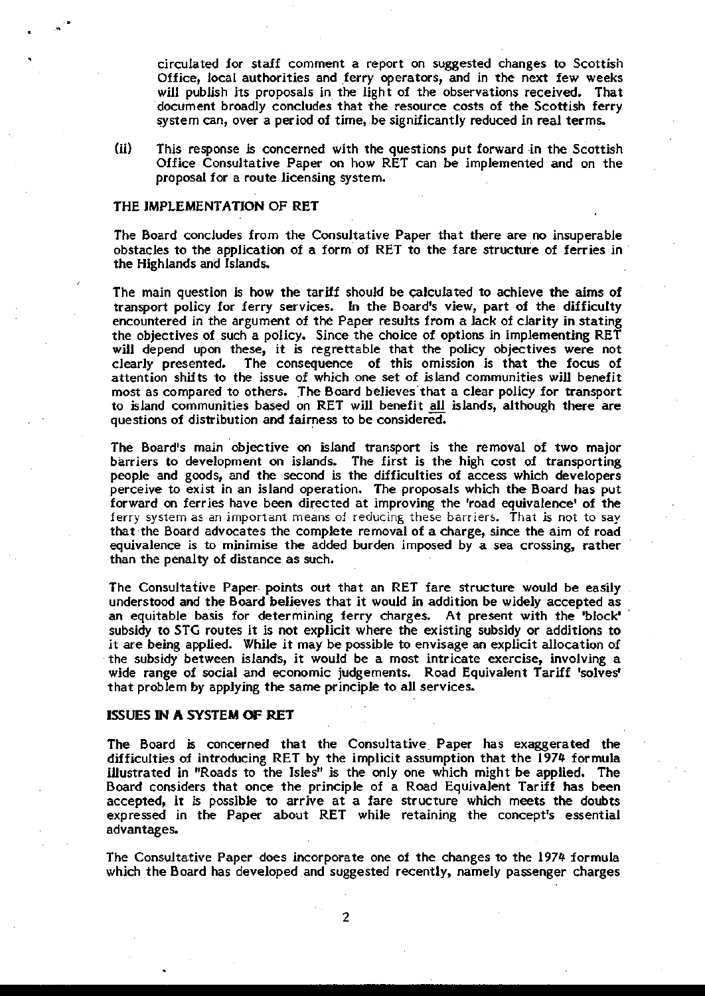circulated for staff comment a report on suggested changes to Scottish Office, local authorities and ferry operators, and in the next few weeks will publish its proposals in the light of the observations received. That document broadly concludes that the resource costs of the Scottish ferry system can, over a period of time, be significantly reduced in real terms.

(ii) This response is concerned with the questions put forward in the Scottish Office Consultative Paper on how RET can be implemented and on the proposal for a route licensing system.

### THE IMPLEMENTATION OF RET

The Board concludes from the Consultative Paper that there are no insuperable obstacles to the application of a form of RET to the fare structure of ferries in the Highlands and Islands.

The main question is how the tariff should be calculated to achieve the aims of transport policy for ferry services. In the Board's view, part of the difficulty encountered in the argument of the Paper results from a lack of clarity in stating the objectives of such a policy. Since the choice of options in implementing RET will depend upon these, it is regrettable that the policy objectives were not clearly presented. The consequence of this omission is that the focus of The consequence of this omission is that the focus of attention shifts to the issue of which one set of island communities will benefit most as compared to others. The Board believes that a clear policy for transport to island communities based on RET will benefit all islands, although there are questions of distribution and fairness to be considered.

The Board's main objective on island transport is the removal of two major barriers to development on islands. The first is the high cost of transporting people and goods, and the second is the difficulties of access which developers perceive to exist in an island operation. The proposals which the Board has put forward on ferries have been directed at improving the 'road equivalence' of the ferry system as an important means of reducing these barriers. That is not to say that the Board advocates the complete removal of a charge, since the aim of road equivalence is to minimise the added burden imposed by a sea crossing, rather than the penalty of distance as such.

The Consultative Paper points out that an RET fare structure would be easily understood and the Board believes that it would in addition be widely accepted as an equitable basis for determining ferry charges. At present with the 'block' subsidy to STG routes it is not explicit where the existing subsidy or additions to it are being applied. While it may be possible to envisage an explicit allocation of the subsidy between islands, it would be a most intricate exercise, involving a wide range of social and economic judgements. Road Equivalent Tariff 'solves' that problem by applying the same principle to all services.

#### **ISSUES IN A SYSTEM OF RET**

The Board is concerned that the Consultative Paper has exaggerated the difficulties of introducing RET by the implicit assumption that the 1974 formula illustrated in "Roads to the Isles" is the only one which might be applied. The Board considers that once the principle of a Road Equivalent Tariff has been accepted, it is possible to arrive at a fare structure which meets the doubts expressed in the Paper about RET while retaining the concept's essential advantages.

The Consultative Paper does incorporate one of the changes to the 1974 formula which the Board has developed and suggested recently, namely passenger charges

 $\overline{2}$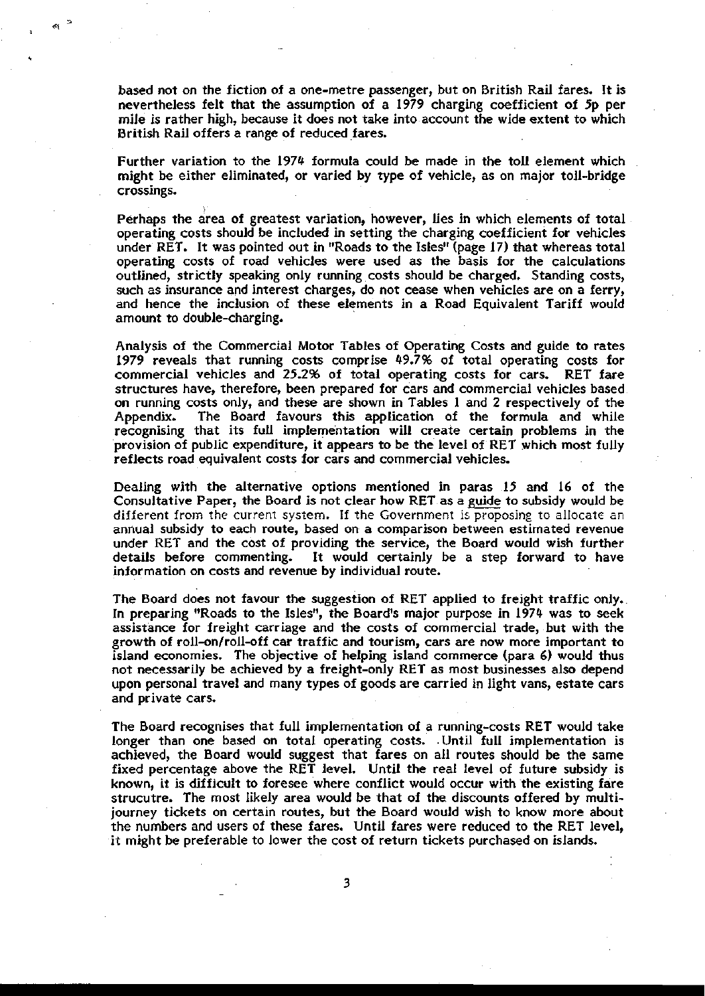based not on the fiction of a one-metre passenger, but on British Rail fares. It is nevertheless felt that the assumption of a 1979 charging coefficient of 5p per mile is rather high, because it does not take into account the wide extent to which British Rail offers a range of reduced fares.

Further variation to the 1974 formula could be made in the toll element which might be either eliminated, or varied by type of vehicle, as on major toll-bridge crossings.

Perhaps the area of greatest variation, however, lies in which elements of total operating costs should be included in setting the charging coefficient for vehicles under RET. It was pointed out in "Roads to the Isles" (page 17) that whereas total operating costs of road vehicles were used as the basis for the calculations outlined, strictly speaking only running costs should be charged. Standing costs, such as insurance and interest charges, do not cease when vehicles are on a ferry, and hence the inclusion of these elements in a Road Equivalent Tariff would amount to double-charging.

Analysis of the Commercial Motor Tables of Operating Costs and guide to rates 1979 reveals that running costs comprise 49.7% of total operating costs for commercial vehicles and 25.2% of total operating costs for cars. RET fare structures have, therefore, been prepared for cars and commercial vehicles based on running costs only, and these are shown in Tables 1 and 2 respectively of the Appendix. The Board favours this application of the formula and while recognising that its full implementation will create certain problems in the provision of public expenditure, it appears to be the level of RET which most fully reflects road equivalent costs for cars and commercial vehicles.

Dealing with the alternative options mentioned in paras 15 and 16 of the Consultative Paper, the Board is not clear how RET as a guide to subsidy would be different from the current system. If the Government is proposing to allocate an annual subsidy to each route, based on a comparison between estimated revenue under RET and the cost of providing the service, the Board would wish further details before commenting. It would certainly be a step forward to have information on costs and revenue by individual route.

The Board does not favour the suggestion of RET applied to freight traffic only. In preparing "Roads to the Isles", the Board's major purpose in 1974 was to seek assistance for freight carriage and the costs of commercial trade, but with the growth of roll-on/roll-off car traffic and tourism, cars are now more important to island economies. The objective of helping island commerce (para 6) would thus not necessarily be achieved by a freight-only RET as most businesses also depend upon personal travel and many types of goods are carried in light vans, estate cars and private cars.

The Board recognises that full implementation of a running-costs RET would take longer than one based on total operating costs. Until full implementation is achieved, the Board would suggest that fares on all routes should be the same fixed percentage above the RET level. Until the real level of future subsidy is known, it is difficult to foresee where conflict would occur with the existing fare strucutre. The most likely area would be that of the discounts offered by multijourney tickets on certain routes, but the Board would wish to know more about the numbers and users of these fares. Until fares were reduced to the RET level, it might be preferable to lower the cost of return tickets purchased on islands.

3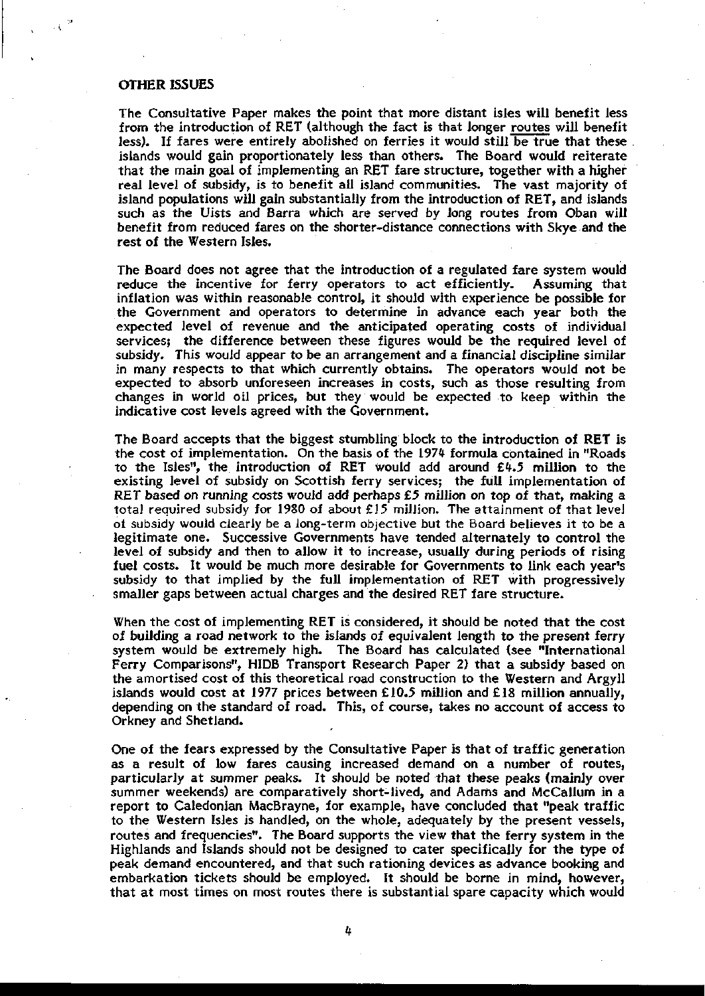### OTHER ISSUES

The Consultative Paper makes the point that more distant isles will benefit less from the introduction of RET (although the fact is that longer routes will benefit less). If fares were entirely abolished on ferries it would still be true that these islands would gain proportionately less than others. The Board would reiterate that the main goal of implementing an RET fare structure, together with a higher real level of subsidy, is to benefit all island communities. The vast majority of island populations will gain substantially from the introduction of RET, and islands such as the Uists and Barra which are served by long routes from Oban will benefit from reduced fares on the shorter-distance connections with Skye and the rest of the Western Isles.

The Board does not agree that the introduction of a regulated fare system would reduce the incentive for ferry operators to act efficiently. Assuming that inflation was within reasonable control, it should with experience be possible for the Government and operators to determine in advance each year both the expected level of revenue and the anticipated operating costs of individual services; the difference between these figures would be the required level of subsidy. This would appear to be an arrangement and a financial discipline similar in many respects to that which currently obtains. The operators would not be expected to absorb unforeseen increases in costs, such as those resulting from changes in world oil prices, but they would be expected to keep within the indicative cost levels agreed with the Government.

The Board accepts that the biggest stumbling block to the introduction of RET is the cost of implementation. On the basis of the 1974 formula contained in "Roads to the Isles", the introduction of RET would add around £4.5 million to the existing level of subsidy on Scottish ferry services; the full implementation of RET based on running costs would add perhaps  $£5$  million on top of that, making a tota] required subsidy for 1980 of about £15 million. The attainment of that level oi subsidy would clearly be a long-term objective but the Board believes it to be a legitimate one. Successive Governments have tended alternately to control the level of subsidy and then to allow it to increase, usually during periods of rising fuel costs. It would be much more desirable for Governments to link each year's subsidy to that implied by the full implementation of RET with progressively smaller gaps between actual charges and the desired RET fare structure.

When the cost of implementing RET is considered, it should be noted that the cost of building a road network to the islands of equivalent length to the present ferry system would be extremely high. The Board has calculated (see "International Ferry Comparisons", HIDB Transport Research Paper 2) that a subsidy based on the amortised cost of this theoretical road construction to the Western and Argyll islands would cost at 1977 prices between £10.5 million and £18 million annually, depending on the standard of road. This, of course, takes no account of access to Orkney and Shetland.

One of the fears expressed by the Consultative Paper is that of traffic generation as a result of low fares causing increased demand on a number of routes, particularly at summer peaks. It should be noted that these peaks (mainly over summer weekends) are comparatively short-lived, and Adams and McCallum in a report to Caledonian MacBrayne, for example, have concluded that "peak traffic to the Western Isles is handled, on the whole, adequately by the present vessels, routes and frequencies". The Board supports the view that the ferry system in the Highlands and Islands should not be designed to cater specifically for the type of peak demand encountered, and that such rationing devices as advance booking and embarkation tickets should be employed. It should be borne in mind, however, that at most times on most routes there is substantial spare capacity which would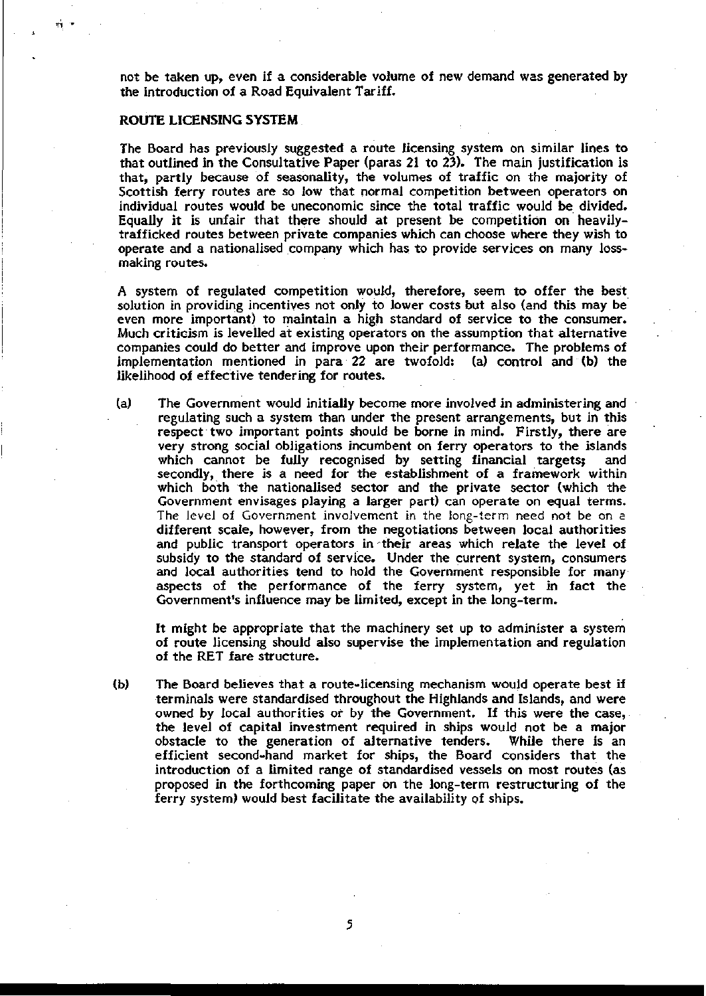not be taken up, even if a considerable volume of new demand was generated by the introduction of a Road Equivalent Tariff.

#### **ROUTE LICENSING SYSTEM**

The Board has previously suggested a route licensing system on similar lines to that outlined in the Consultative Paper (paras 21 to 23). The main justification is that, partly because of seasonality, the volumes of traffic on the majority of Scottish ferry routes are so low that normal competition between operators on individual routes would be uneconomic since the total traffic would be divided. Equally it is unfair that there should at present be competition on heavilytrafficked routes between private companies which can choose where they wish to operate and a nationalised company which has to provide services on many lossmaking routes.

A system of regulated competition would, therefore, seem to offer the best solution in providing incentives not only to lower costs but also (and this may be even more important) to maintain a high standard of service to the consumer. Much criticism is levelled at existing operators on the assumption that alternative companies could do better and improve upon their performance. The problems of implementation mentioned in para 22 are twofold: (a) control and (b) the likelihood of effective tendering for routes.

(a) The Government would initially become more involved in administering and regulating such a system than under the present arrangements, but in this respect two important points should be borne in mind. Firstly, there are very strong social obligations incumbent on ferry operators to the islands which cannot be fully recognised by setting financial targets; and secondly, there is a need for the establishment of a framework within which both the nationalised sector and the private sector (which the Government envisages playing a larger part) can operate on equal terms. The level of Government involvement in the long-term need not be on. a different scale, however, from the negotiations between local authorities and public transport operators in-their areas which relate the level of subsidy to the standard of service. Under the current system, consumers and local authorities tend to hold the Government responsible for many aspects of the performance of the ferry system, yet in fact the Government's influence may be limited, except in the long-term.

It might be appropriate that the machinery set up to administer a system of route licensing should also supervise the implementation and regulation of the RET fare structure.

(b) The Board believes that a route-licensing mechanism would operate best if terminals were standardised throughout the Highlands and Islands, and were owned by local authorities or by the Government. If this were the case, the level of capital investment required in ships would not be a major obstacle to the generation of alternative tenders. While there is an efficient second-hand market for ships, the Board considers that the introduction of a limited range of standardised vessels on most routes (as proposed in the forthcoming paper on the long-term restructuring of the ferry system) would best facilitate the availability of ships.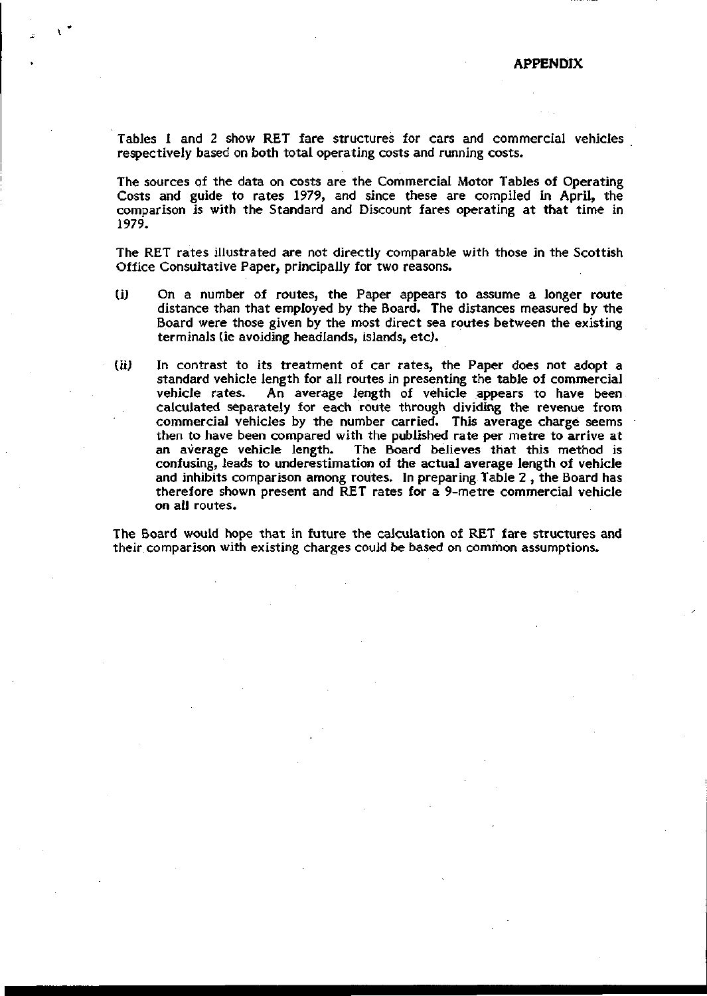Tables 1 and 2 show RET fare structures for cars and commercial vehicles respectively based on both total operating costs and running costs.

The sources of the data on costs are the Commercial Motor Tables of Operating Costs and guide to rates 1979, and since these are compiled in April, the comparison is with the Standard and Discount fares operating at that time in 1979.

The RET rates illustrated are not directly comparable with those in the Scottish Office Consultative Paper, principally for two reasons.

- (i) On a number of routes, the Paper appears to assume a longer route distance than that employed by the Board. The distances measured by the Board were those given by the most direct sea routes between the existing terminals (ie avoiding headlands, islands, etc).
- (ii) In contrast to its treatment of car rates, the Paper does not adopt a standard vehicle length for all routes in presenting the table of commercial vehicle rates. An average length of vehicle appears to have been calculated separately for each route through dividing the revenue from commercial vehicles by the number carried. This average charge seems then to have been compared with the published rate per metre to arrive at an average vehicle length. The Board believes that this method is confusing, leads to underestimation of the actual average length of vehicle and inhibits comparison among routes. In preparing Table 2 , the Board has therefore shown present and RET rates for a 9-metre commercial vehicle on all routes.

The Board would hope that in future the calculation of RET fare structures and their comparison with existing charges could be based on common assumptions.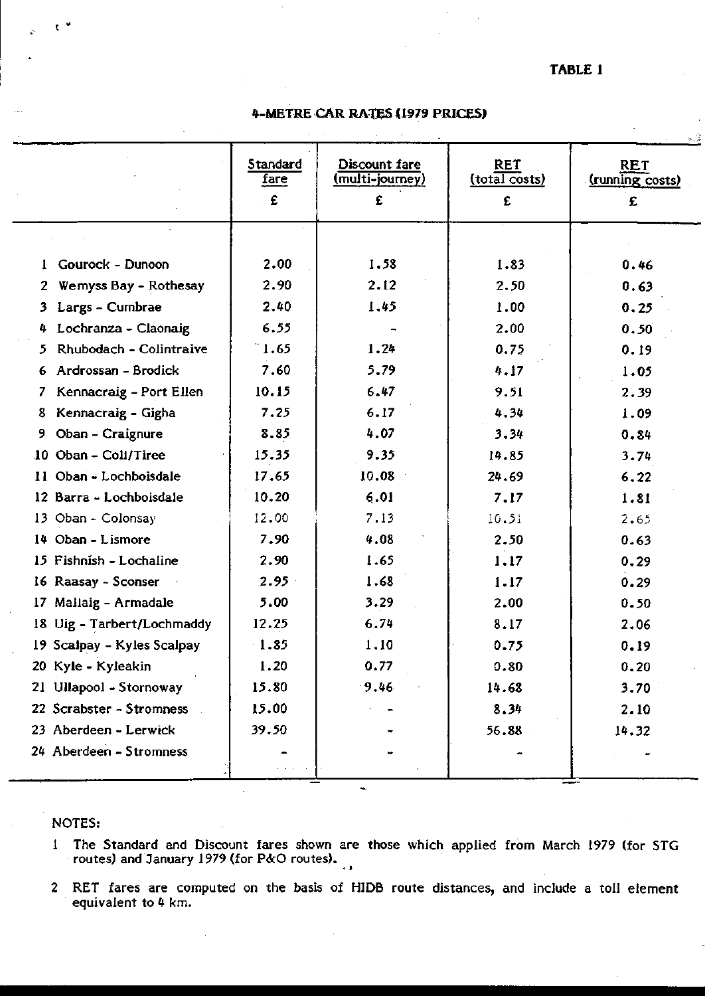# **TABLE 1**

# **4-METRE CAR RATES (1979 PRICES)**

|    |                            |                              |                                              |                           | 海藻                                 |
|----|----------------------------|------------------------------|----------------------------------------------|---------------------------|------------------------------------|
|    |                            | Standard<br><u>fare</u><br>£ | Discount fare<br><u>(multi-journey)</u><br>£ | RET<br>(total costs)<br>£ | <b>RET</b><br>(running costs)<br>£ |
|    |                            |                              |                                              |                           |                                    |
|    | Gourock - Dunoon           | 2.00                         | 1.58                                         | 1.83                      | 0.46                               |
| 2. | Wemyss Bay - Rothesay      | 2.90                         | 2.12                                         | 2.50                      | 0.63                               |
| 3. | Largs - Cumbrae            | 2.40                         | 1.45                                         | 1.00                      | 0.25                               |
| 4. | Lochranza - Claonaig       | 6.55                         |                                              | 2.00                      | 0.50                               |
| 5. | Rhubodach - Colintraive    | $\degree$ 1.65               | 1.24                                         | 0.75                      | 0.19                               |
| 6. | Ardrossan - Brodick        | 7.60                         | 5.79                                         | 4.17                      | 1.05                               |
| 7. | Kennacraig - Port Ellen    | 10.15                        | 6.47                                         | 9.51                      | 2.39                               |
| 8. | Kennacraig - Gigha         | 7.25                         | 6.17                                         | 4.34                      | 1.09                               |
| 9  | Oban - Craignure           | 8.85                         | 4.07                                         | 3.34                      | 0.84                               |
|    | 10 Oban - Coll/Tiree       | 15.35                        | 9.35                                         | 14.85                     | 3.74                               |
|    | Il Oban - Lochboisdale     | 17.65                        | 10.08                                        | 24.69                     | 6.22                               |
|    | 12 Barra - Lochboisdale    | 10.20                        | 6.01                                         | 7.17                      | 1.81                               |
|    | 13 Oban - Colonsay         | 12.00                        | 7.13                                         | 10.51                     | 2,65                               |
|    | 14 Oban - Lismore          | 7.90                         | 4.08                                         | 2.50                      | 0.63                               |
|    | 15 Fishnish - Lochaline    | 2.90                         | 1.65                                         | 1.17                      | 0.29                               |
|    | 16 Raasay - Sconser        | $2.95 -$                     | 1.68                                         | 1.17                      | 0.29                               |
|    | 17 Mallaig - Armadale      | 5.00                         | 3.29                                         | 2,00                      | 0.50                               |
|    | 18 Uig - Tarbert/Lochmaddy | 12.25                        | 6.74                                         | 8.17                      | 2.06                               |
|    | 19 Scalpay - Kyles Scalpay | 1.85                         | 1,10                                         | 0.75                      | 0.19                               |
|    | 20 Kyle - Kyleakin         | 1.20                         | 0.77                                         | 0.80                      | 0.20                               |
|    | 21 Ullapool - Stornoway    | 15.80                        | 9.46                                         | 14.68                     | 3.70                               |
|    | 22 Scrabster - Stromness   | 15.00                        |                                              | 8.34                      | 2.10                               |
|    | 23 Aberdeen - Lerwick      | 39.50                        |                                              | 56.88                     | 14.32                              |
|    | 24 Aberdeen - Stromness    |                              |                                              |                           |                                    |

### NOTES:

 $\mathbf{v}$ 

1 The Standard and Discount fares shown are those which applied from March 1979 (for STG routes) and January 1979 (for P&O routes).

 $\ddot{\phantom{a}}$ 

2 RET fares are computed on the basis of HIDE route distances, and include a toll element equivalent to 4 km.